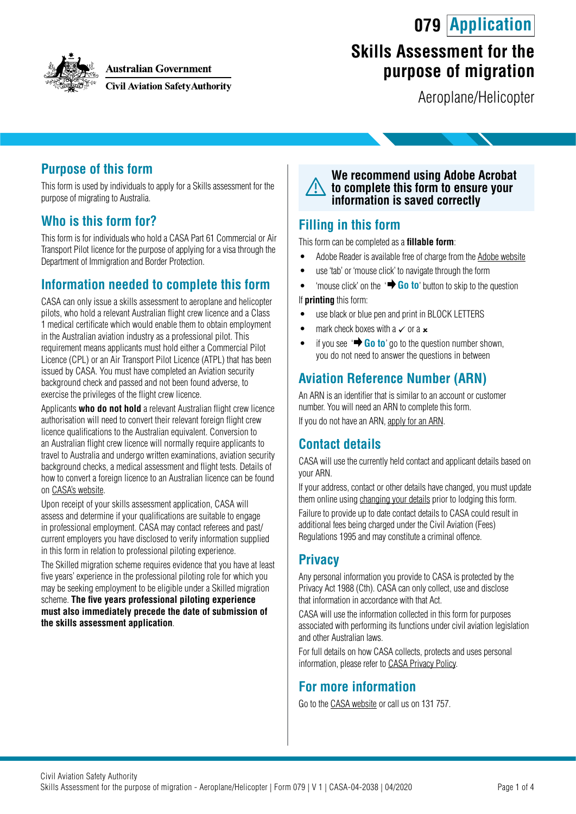**079 Application**



#### **Australian Government**

**Civil Aviation Safety Authority** 

# **Skills Assessment for the purpose of migration**

Aeroplane/Helicopter

## **Purpose of this form**

This form is used by individuals to apply for a Skills assessment for the purpose of migrating to Australia.

## **Who is this form for?**

This form is for individuals who hold a CASA Part 61 Commercial or Air Transport Pilot licence for the purpose of applying for a visa through the Department of Immigration and Border Protection.

## **Information needed to complete this form**

CASA can only issue a skills assessment to aeroplane and helicopter pilots, who hold a relevant Australian flight crew licence and a Class 1 medical certificate which would enable them to obtain employment in the Australian aviation industry as a professional pilot. This requirement means applicants must hold either a Commercial Pilot Licence (CPL) or an Air Transport Pilot Licence (ATPL) that has been issued by CASA. You must have completed an Aviation security background check and passed and not been found adverse, to exercise the privileges of the flight crew licence.

Applicants **who do not hold** a relevant Australian flight crew licence authorisation will need to convert their relevant foreign flight crew licence qualifications to the Australian equivalent. Conversion to an Australian flight crew licence will normally require applicants to travel to Australia and undergo written examinations, aviation security background checks, a medical assessment and flight tests. Details of how to convert a foreign licence to an Australian licence can be found on [CASA's website.](https://www.casa.gov.au/standard-page/converting-overseas-licences)

Upon receipt of your skills assessment application, CASA will assess and determine if your qualifications are suitable to engage in professional employment. CASA may contact referees and past/ current employers you have disclosed to verify information supplied in this form in relation to professional piloting experience.

The Skilled migration scheme requires evidence that you have at least five years' experience in the professional piloting role for which you may be seeking employment to be eligible under a Skilled migration scheme. **The five years professional piloting experience must also immediately precede the date of submission of the skills assessment application**.



### **Filling in this form**

This form can be completed as a **fillable form**:

- Adobe Reader is available free of charge from the [Adobe website](https://get.adobe.com/reader/)
- use 'tab' or 'mouse click' to navigate through the form
- 'mouse click' on the '**+ Go to'** button to skip to the question

If **printing** this form:

- use black or blue pen and print in BLOCK LETTERS
- mark check boxes with a  $\times$  or a  $\times$
- if you see  $\overrightarrow{ }$  **Go to**' go to the question number shown, you do not need to answer the questions in between

## **Aviation Reference Number (ARN)**

An ARN is an identifier that is similar to an account or customer number. You will need an ARN to complete this form.

If you do not have an ARN, [apply for an ARN](https://www.casa.gov.au/licences-and-certification/individual-licensing/applying-aviation-reference-number-arn).

### **Contact details**

CASA will use the currently held contact and applicant details based on your ARN.

If your address, contact or other details have changed, you must update them online using [changing your details](https://www.casa.gov.au/licences-and-certification/individual-licensing/licence-information/changing-your-details) prior to lodging this form.

Failure to provide up to date contact details to CASA could result in additional fees being charged under the Civil Aviation (Fees) Regulations 1995 and may constitute a criminal offence.

## **Privacy**

Any personal information you provide to CASA is protected by the Privacy Act 1988 (Cth). CASA can only collect, use and disclose that information in accordance with that Act.

CASA will use the information collected in this form for purposes associated with performing its functions under civil aviation legislation and other Australian laws.

For full details on how CASA collects, protects and uses personal information, please refer to [CASA Privacy Policy](http://www.casa.gov.au/privacy-policy).

### **For more information**

Go to the [CASA website](http://www.casa.gov.au) or call us on 131 757.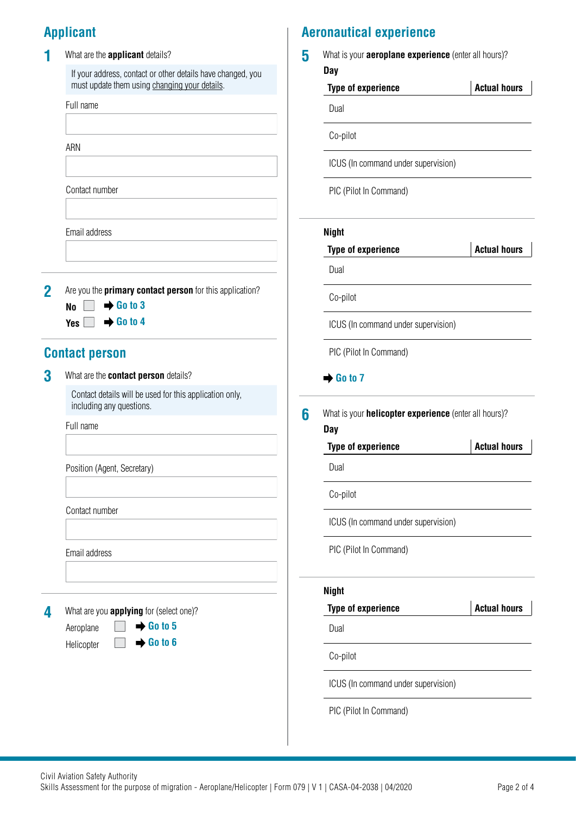# **Applicant**

|  | What are the <b>applicant</b> details?                                                                       |  |  |  |
|--|--------------------------------------------------------------------------------------------------------------|--|--|--|
|  | If your address, contact or other details have changed, you<br>must update them using changing your details. |  |  |  |
|  | Full name                                                                                                    |  |  |  |
|  |                                                                                                              |  |  |  |
|  | ARN                                                                                                          |  |  |  |
|  |                                                                                                              |  |  |  |
|  | Contact number                                                                                               |  |  |  |
|  |                                                                                                              |  |  |  |
|  | Email address                                                                                                |  |  |  |
|  |                                                                                                              |  |  |  |
|  |                                                                                                              |  |  |  |
|  |                                                                                                              |  |  |  |

**2** Are you the **primary contact person** for this application? **No**  $\mathsf{Yes} \Box \rightarrow \mathsf{Go}$  to 4  $\rightarrow$  **Go to 3** 

## **Contact person**

**3** What are the **contact person** details?

Contact details will be used for this application only, including any questions.

#### Full name

Position (Agent, Secretary)

Contact number

Email address

**4** What are you **applying** for (select one)?

Aeroplane Helicopter  $\rightarrow$  **Go to 5** 

# **Aeronautical experience**

**5** What is your **aeroplane experience** (enter all hours)? **Day**

# **Type of experience Actual hours** Dual

Co-pilot

ICUS (In command under supervision)

PIC (Pilot In Command)

#### **Night**

|                                           |   | <b>Type of experience</b>                                                  | <b>Actual hours</b> |  |
|-------------------------------------------|---|----------------------------------------------------------------------------|---------------------|--|
|                                           |   | Dual                                                                       |                     |  |
| <b>itact person</b> for this application? |   | Co-pilot                                                                   |                     |  |
|                                           |   | ICUS (In command under supervision)                                        |                     |  |
|                                           |   | PIC (Pilot In Command)                                                     |                     |  |
| rson details?                             |   | $\rightarrow$ Go to 7                                                      |                     |  |
| ised for this application only,           | 6 | What is your <b>helicopter experience</b> (enter all hours)?<br><b>Day</b> |                     |  |
|                                           |   | <b>Type of experience</b>                                                  | <b>Actual hours</b> |  |
|                                           |   | Dual                                                                       |                     |  |
|                                           |   | Co-pilot                                                                   |                     |  |
|                                           |   | ICUS (In command under supervision)                                        |                     |  |
|                                           |   | PIC (Pilot In Command)                                                     |                     |  |
|                                           |   | <b>Night</b>                                                               |                     |  |
| or (select one)?                          |   | <b>Type of experience</b>                                                  | <b>Actual hours</b> |  |
| Go to 5                                   |   | Dual                                                                       |                     |  |
| Go to 6                                   |   |                                                                            |                     |  |

Co-pilot

ICUS (In command under supervision)

PIC (Pilot In Command)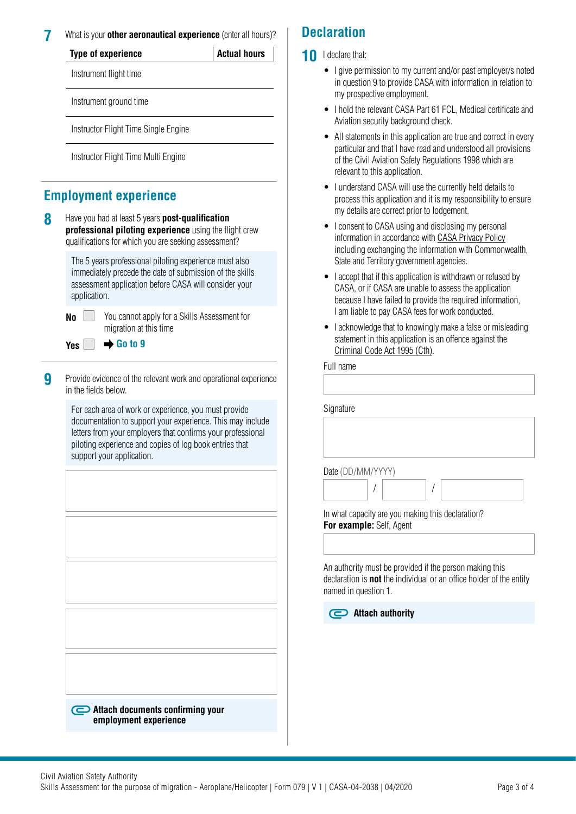**7** What is your **other aeronautical experience** (enter all hours)?

| <b>Type of experience</b> | <b>Actual hours</b> |
|---------------------------|---------------------|
|                           |                     |

Instrument flight time

Instrument ground time

Instructor Flight Time Single Engine

Instructor Flight Time Multi Engine

## **Employment experience**

**8** Have you had at least 5 years **post-qualification professional piloting experience** using the flight crew qualifications for which you are seeking assessment?

> The 5 years professional piloting experience must also immediately precede the date of submission of the skills assessment application before CASA will consider your application.

**No** You cannot apply for a Skills Assessment for **Yes**

migration at this time **Go to 9**

**9** Provide evidence of the relevant work and operational experience in the fields below.

> For each area of work or experience, you must provide documentation to support your experience. This may include letters from your employers that confirms your professional piloting experience and copies of log book entries that support your application.

**Attach documents confirming your employment experience**

## **Declaration**

- **10** I declare that:
	- I give permission to my current and/or past employer/s noted in question 9 to provide CASA with information in relation to my prospective employment.
	- I hold the relevant CASA Part 61 FCL, Medical certificate and Aviation security background check.
	- All statements in this application are true and correct in every particular and that I have read and understood all provisions of the Civil Aviation Safety Regulations 1998 which are relevant to this application.
	- I understand CASA will use the currently held details to process this application and it is my responsibility to ensure my details are correct prior to lodgement.
	- I consent to CASA using and disclosing my personal information in accordance with [CASA Privacy Policy](http://www.casa.gov.au/privacy-policy) including exchanging the information with Commonwealth, State and Territory government agencies.
	- I accept that if this application is withdrawn or refused by CASA, or if CASA are unable to assess the application because I have failed to provide the required information, I am liable to pay CASA fees for work conducted.
	- I acknowledge that to knowingly make a false or misleading statement in this application is an offence against the [Criminal Code Act 1995 \(Cth\).](https://www.legislation.gov.au/Details/C2018C00244)

#### Full name

| Signature                                         |  |
|---------------------------------------------------|--|
|                                                   |  |
| Date (DD/MM/YYYY)                                 |  |
| In what capacity are you making this declaration? |  |
| For example: Self, Agent                          |  |

An authority must be provided if the person making this declaration is **not** the individual or an office holder of the entity named in question 1.